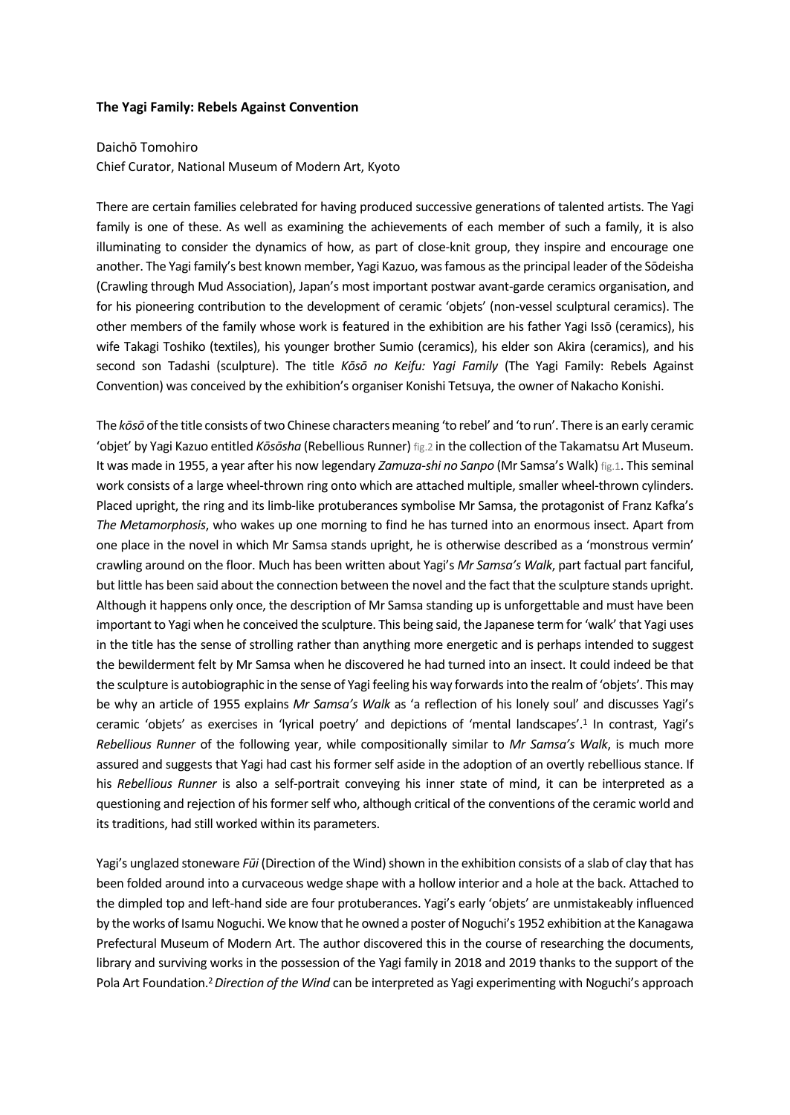## **The Yagi Family: Rebels Against Convention**

## Daichō Tomohiro

Chief Curator, National Museum of Modern Art, Kyoto

There are certain families celebrated for having produced successive generations of talented artists. The Yagi family is one of these. As well as examining the achievements of each member of such a family, it is also illuminating to consider the dynamics of how, as part of close-knit group, they inspire and encourage one another. The Yagi family's best known member, Yagi Kazuo, was famous as the principal leader of the Sōdeisha (Crawling through Mud Association), Japan's most important postwar avant-garde ceramics organisation, and for his pioneering contribution to the development of ceramic 'objets' (non-vessel sculptural ceramics). The other members of the family whose work is featured in the exhibition are his father Yagi Issō (ceramics), his wife Takagi Toshiko (textiles), his younger brother Sumio (ceramics), his elder son Akira (ceramics), and his second son Tadashi (sculpture). The title *Kōsō no Keifu: Yagi Family* (The Yagi Family: Rebels Against Convention) was conceived by the exhibition's organiser Konishi Tetsuya, the owner of Nakacho Konishi.

The *kōsō* of the title consists of two Chinese characters meaning 'to rebel' and 'to run'. There is an early ceramic 'objet' by Yagi Kazuo entitled *Kōsōsha* (Rebellious Runner) fig.2 in the collection of the Takamatsu Art Museum. It was made in 1955, a year after his now legendary *Zamuza-shi no Sanpo* (Mr Samsa's Walk) fig.1. This seminal work consists of a large wheel-thrown ring onto which are attached multiple, smaller wheel-thrown cylinders. Placed upright, the ring and its limb-like protuberances symbolise Mr Samsa, the protagonist of Franz Kafka's *The Metamorphosis*, who wakes up one morning to find he has turned into an enormous insect. Apart from one place in the novel in which Mr Samsa stands upright, he is otherwise described as a 'monstrous vermin' crawling around on the floor. Much has been written about Yagi's *Mr Samsa's Walk*, part factual part fanciful, but little has been said about the connection between the novel and the fact that the sculpture stands upright. Although it happens only once, the description of Mr Samsa standing up is unforgettable and must have been important to Yagi when he conceived the sculpture. This being said, the Japanese term for 'walk' that Yagi uses in the title has the sense of strolling rather than anything more energetic and is perhaps intended to suggest the bewilderment felt by Mr Samsa when he discovered he had turned into an insect. It could indeed be that the sculpture is autobiographic in the sense of Yagi feeling his way forwards into the realm of 'objets'. This may be why an article of 1955 explains *Mr Samsa's Walk* as 'a reflection of his lonely soul' and discusses Yagi's ceramic 'objets' as exercises in 'lyrical poetry' and depictions of 'mental landscapes'.1 In contrast, Yagi's *Rebellious Runner* of the following year, while compositionally similar to *Mr Samsa's Walk*, is much more assured and suggests that Yagi had cast his former self aside in the adoption of an overtly rebellious stance. If his *Rebellious Runner* is also a self-portrait conveying his inner state of mind, it can be interpreted as a questioning and rejection of his former self who, although critical of the conventions of the ceramic world and its traditions, had still worked within its parameters.

Yagi's unglazed stoneware *Fūi* (Direction of the Wind) shown in the exhibition consists of a slab of clay that has been folded around into a curvaceous wedge shape with a hollow interior and a hole at the back. Attached to the dimpled top and left-hand side are four protuberances. Yagi's early 'objets' are unmistakeably influenced by the works of Isamu Noguchi. We know that he owned a poster of Noguchi's 1952 exhibition at the Kanagawa Prefectural Museum of Modern Art. The author discovered this in the course of researching the documents, library and surviving works in the possession of the Yagi family in 2018 and 2019 thanks to the support of the Pola Art Foundation.2 *Direction of the Wind* can be interpreted as Yagi experimenting with Noguchi's approach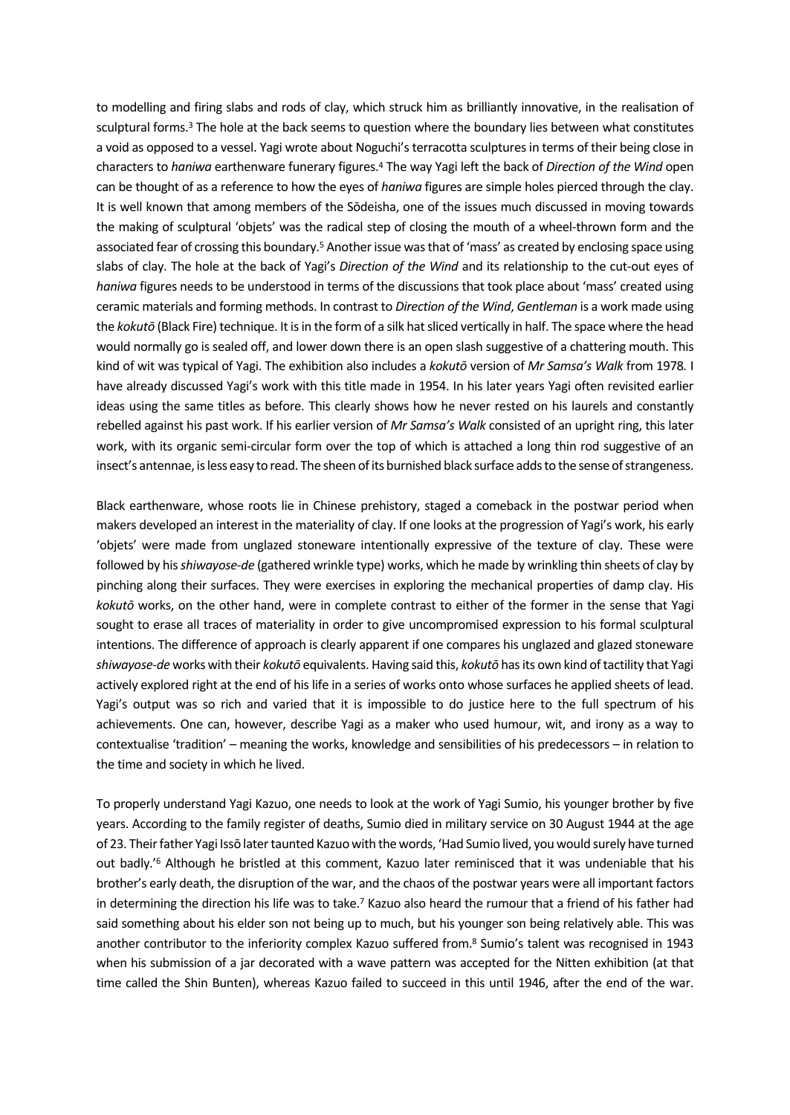to modelling and firing slabs and rods of clay, which struck him as brilliantly innovative, in the realisation of sculptural forms.<sup>3</sup> The hole at the back seems to question where the boundary lies between what constitutes a void as opposed to a vessel. Yagi wrote about Noguchi's terracotta sculptures in terms of their being close in characters to *haniwa* earthenware funerary figures.4 The way Yagi left the back of *Direction of the Wind* open can be thought of as a reference to how the eyes of *haniwa* figures are simple holes pierced through the clay. It is well known that among members of the Sōdeisha, one of the issues much discussed in moving towards the making of sculptural 'objets' was the radical step of closing the mouth of a wheel-thrown form and the associated fear of crossing this boundary.5 Another issue was that of 'mass' as created by enclosing space using slabs of clay. The hole at the back of Yagi's *Direction of the Wind* and its relationship to the cut-out eyes of *haniwa* figures needs to be understood in terms of the discussions that took place about 'mass' created using ceramic materials and forming methods. In contrast to *Direction of the Wind*, *Gentleman* is a work made using the *kokutō* (Black Fire) technique. It is in the form of a silk hat sliced vertically in half. The space where the head would normally go is sealed off, and lower down there is an open slash suggestive of a chattering mouth. This kind of wit was typical of Yagi. The exhibition also includes a *kokutō* version of *Mr Samsa's Walk* from 1978*.* I have already discussed Yagi's work with this title made in 1954. In his later years Yagi often revisited earlier ideas using the same titles as before. This clearly shows how he never rested on his laurels and constantly rebelled against his past work. If his earlier version of *Mr Samsa's Walk* consisted of an upright ring, this later work, with its organic semi-circular form over the top of which is attached a long thin rod suggestive of an insect's antennae, is less easy to read. The sheen of its burnished black surface adds to the sense of strangeness.

Black earthenware, whose roots lie in Chinese prehistory, staged a comeback in the postwar period when makers developed an interest in the materiality of clay. If one looks at the progression of Yagi's work, his early 'objets' were made from unglazed stoneware intentionally expressive of the texture of clay. These were followed by his *shiwayose-de* (gathered wrinkle type) works, which he made by wrinkling thin sheets of clay by pinching along their surfaces. They were exercises in exploring the mechanical properties of damp clay. His *kokutō* works, on the other hand, were in complete contrast to either of the former in the sense that Yagi sought to erase all traces of materiality in order to give uncompromised expression to his formal sculptural intentions. The difference of approach is clearly apparent if one compares his unglazed and glazed stoneware *shiwayose-de* works with their *kokutō* equivalents. Having said this, *kokutō* has its own kind of tactility that Yagi actively explored right at the end of his life in a series of works onto whose surfaces he applied sheets of lead. Yagi's output was so rich and varied that it is impossible to do justice here to the full spectrum of his achievements. One can, however, describe Yagi as a maker who used humour, wit, and irony as a way to contextualise 'tradition' – meaning the works, knowledge and sensibilities of his predecessors – in relation to the time and society in which he lived.

To properly understand Yagi Kazuo, one needs to look at the work of Yagi Sumio, his younger brother by five years. According to the family register of deaths, Sumio died in military service on 30 August 1944 at the age of 23. Their father Yagi Issō later taunted Kazuo with the words, 'Had Sumio lived, you would surely have turned out badly.<sup>'6</sup> Although he bristled at this comment, Kazuo later reminisced that it was undeniable that his brother's early death, the disruption of the war, and the chaos of the postwar years were all important factors in determining the direction his life was to take.7 Kazuo also heard the rumour that a friend of his father had said something about his elder son not being up to much, but his younger son being relatively able. This was another contributor to the inferiority complex Kazuo suffered from.8 Sumio's talent was recognised in 1943 when his submission of a jar decorated with a wave pattern was accepted for the Nitten exhibition (at that time called the Shin Bunten), whereas Kazuo failed to succeed in this until 1946, after the end of the war.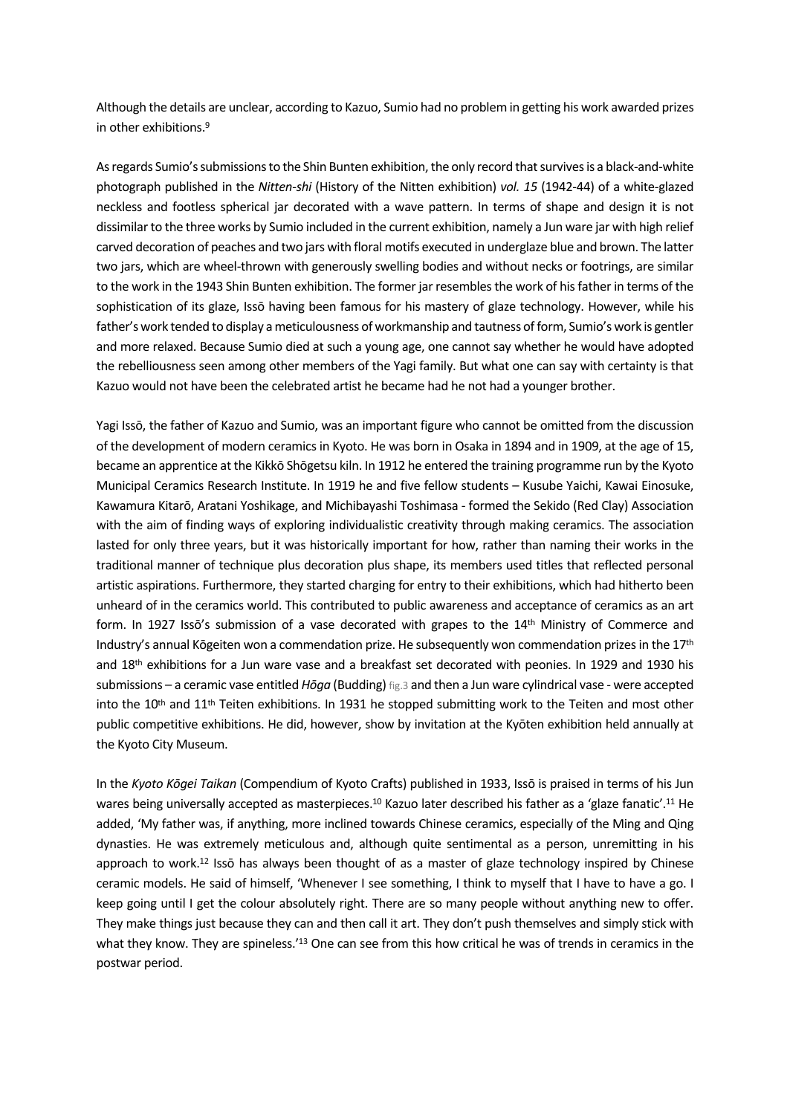Although the details are unclear, according to Kazuo, Sumio had no problem in getting his work awarded prizes in other exhibitions.9

As regards Sumio's submissions to the Shin Bunten exhibition, the only record that survives is a black-and-white photograph published in the *Nitten-shi* (History of the Nitten exhibition) *vol. 15* (1942-44) of a white-glazed neckless and footless spherical jar decorated with a wave pattern. In terms of shape and design it is not dissimilar to the three works by Sumio included in the current exhibition, namely a Jun ware jar with high relief carved decoration of peaches and two jars with floral motifs executed in underglaze blue and brown. The latter two jars, which are wheel-thrown with generously swelling bodies and without necks or footrings, are similar to the work in the 1943 Shin Bunten exhibition. The former jar resembles the work of his father in terms of the sophistication of its glaze, Issō having been famous for his mastery of glaze technology. However, while his father's work tended to display a meticulousness of workmanship and tautness of form, Sumio's work is gentler and more relaxed. Because Sumio died at such a young age, one cannot say whether he would have adopted the rebelliousness seen among other members of the Yagi family. But what one can say with certainty is that Kazuo would not have been the celebrated artist he became had he not had a younger brother.

Yagi Issō, the father of Kazuo and Sumio, was an important figure who cannot be omitted from the discussion of the development of modern ceramics in Kyoto. He was born in Osaka in 1894 and in 1909, at the age of 15, became an apprentice at the Kikkō Shōgetsu kiln. In 1912 he entered the training programme run by the Kyoto Municipal Ceramics Research Institute. In 1919 he and five fellow students – Kusube Yaichi, Kawai Einosuke, Kawamura Kitarō, Aratani Yoshikage, and Michibayashi Toshimasa - formed the Sekido (Red Clay) Association with the aim of finding ways of exploring individualistic creativity through making ceramics. The association lasted for only three years, but it was historically important for how, rather than naming their works in the traditional manner of technique plus decoration plus shape, its members used titles that reflected personal artistic aspirations. Furthermore, they started charging for entry to their exhibitions, which had hitherto been unheard of in the ceramics world. This contributed to public awareness and acceptance of ceramics as an art form. In 1927 Isso's submission of a vase decorated with grapes to the 14<sup>th</sup> Ministry of Commerce and Industry's annual Kōgeiten won a commendation prize. He subsequently won commendation prizes in the 17<sup>th</sup> and 18th exhibitions for a Jun ware vase and a breakfast set decorated with peonies. In 1929 and 1930 his submissions – a ceramic vase entitled *Hōga* (Budding) fig.3 and then a Jun ware cylindrical vase - were accepted into the 10<sup>th</sup> and 11<sup>th</sup> Teiten exhibitions. In 1931 he stopped submitting work to the Teiten and most other public competitive exhibitions. He did, however, show by invitation at the Kyōten exhibition held annually at the Kyoto City Museum.

In the *Kyoto Kōgei Taikan* (Compendium of Kyoto Crafts) published in 1933, Issō is praised in terms of his Jun wares being universally accepted as masterpieces.<sup>10</sup> Kazuo later described his father as a 'glaze fanatic'.<sup>11</sup> He added, 'My father was, if anything, more inclined towards Chinese ceramics, especially of the Ming and Qing dynasties. He was extremely meticulous and, although quite sentimental as a person, unremitting in his approach to work.<sup>12</sup> Issō has always been thought of as a master of glaze technology inspired by Chinese ceramic models. He said of himself, 'Whenever I see something, I think to myself that I have to have a go. I keep going until I get the colour absolutely right. There are so many people without anything new to offer. They make things just because they can and then call it art. They don't push themselves and simply stick with what they know. They are spineless.<sup>'13</sup> One can see from this how critical he was of trends in ceramics in the postwar period.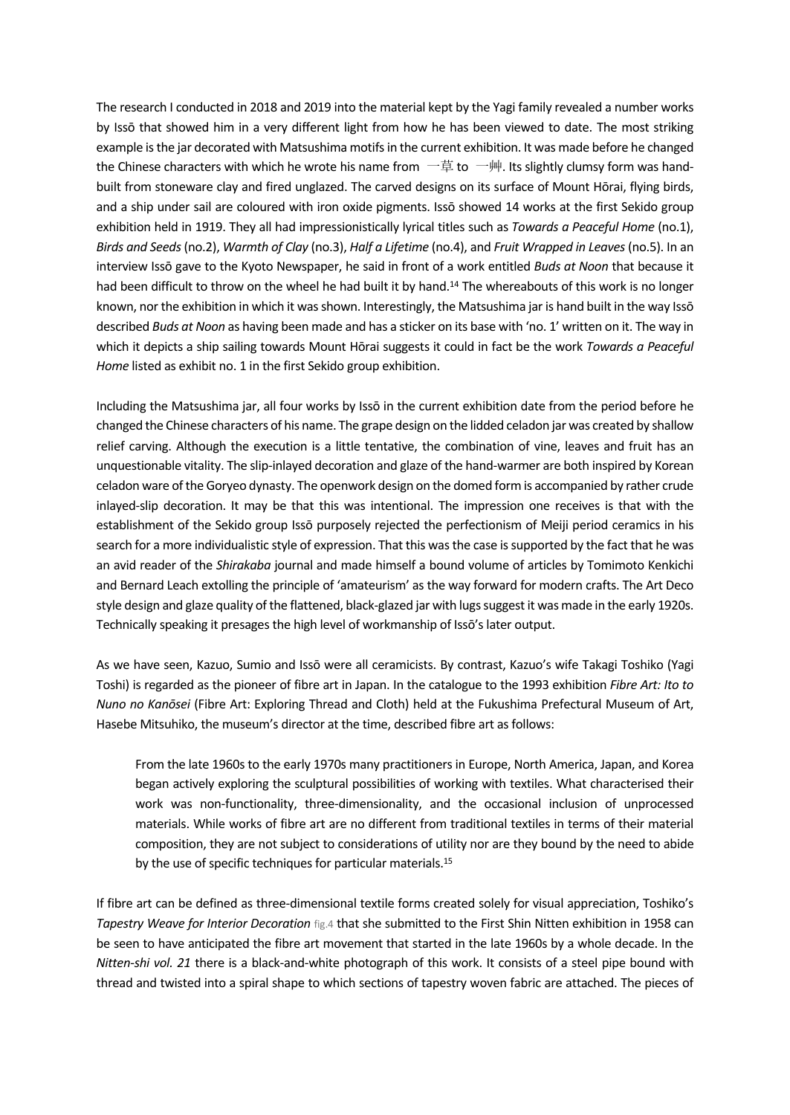The research I conducted in 2018 and 2019 into the material kept by the Yagi family revealed a number works by Issō that showed him in a very different light from how he has been viewed to date. The most striking example is the jar decorated with Matsushima motifs in the current exhibition. It was made before he changed the Chinese characters with which he wrote his name from —草 to —艸. Its slightly clumsy form was handbuilt from stoneware clay and fired unglazed. The carved designs on its surface of Mount Hōrai, flying birds, and a ship under sail are coloured with iron oxide pigments. Issō showed 14 works at the first Sekido group exhibition held in 1919. They all had impressionistically lyrical titles such as *Towards a Peaceful Home* (no.1), *Birds and Seeds*(no.2), *Warmth of Clay* (no.3), *Half a Lifetime* (no.4), and *Fruit Wrapped in Leaves*(no.5). In an interview Issō gave to the Kyoto Newspaper, he said in front of a work entitled *Buds at Noon* that because it had been difficult to throw on the wheel he had built it by hand.<sup>14</sup> The whereabouts of this work is no longer known, nor the exhibition in which it was shown. Interestingly, the Matsushima jar is hand built in the way Issō described *Buds at Noon* as having been made and has a sticker on its base with 'no. 1' written on it. The way in which it depicts a ship sailing towards Mount Hōrai suggests it could in fact be the work *Towards a Peaceful Home* listed as exhibit no. 1 in the first Sekido group exhibition.

Including the Matsushima jar, all four works by Issō in the current exhibition date from the period before he changed the Chinese characters of his name. The grape design on the lidded celadon jar was created by shallow relief carving. Although the execution is a little tentative, the combination of vine, leaves and fruit has an unquestionable vitality. The slip-inlayed decoration and glaze of the hand-warmer are both inspired by Korean celadon ware of the Goryeo dynasty. The openwork design on the domed form is accompanied by rather crude inlayed-slip decoration. It may be that this was intentional. The impression one receives is that with the establishment of the Sekido group Issō purposely rejected the perfectionism of Meiji period ceramics in his search for a more individualistic style of expression. That this was the case is supported by the fact that he was an avid reader of the *Shirakaba* journal and made himself a bound volume of articles by Tomimoto Kenkichi and Bernard Leach extolling the principle of 'amateurism' as the way forward for modern crafts. The Art Deco style design and glaze quality of the flattened, black-glazed jar with lugs suggest it was made in the early 1920s. Technically speaking it presages the high level of workmanship of Issō's later output.

As we have seen, Kazuo, Sumio and Issō were all ceramicists. By contrast, Kazuo's wife Takagi Toshiko (Yagi Toshi) is regarded as the pioneer of fibre art in Japan. In the catalogue to the 1993 exhibition *Fibre Art: Ito to Nuno no Kanōsei* (Fibre Art: Exploring Thread and Cloth) held at the Fukushima Prefectural Museum of Art, Hasebe Mitsuhiko, the museum's director at the time, described fibre art as follows:

From the late 1960s to the early 1970s many practitioners in Europe, North America, Japan, and Korea began actively exploring the sculptural possibilities of working with textiles. What characterised their work was non-functionality, three-dimensionality, and the occasional inclusion of unprocessed materials. While works of fibre art are no different from traditional textiles in terms of their material composition, they are not subject to considerations of utility nor are they bound by the need to abide by the use of specific techniques for particular materials.15

If fibre art can be defined as three-dimensional textile forms created solely for visual appreciation, Toshiko's *Tapestry Weave for Interior Decoration* fig.4 that she submitted to the First Shin Nitten exhibition in 1958 can be seen to have anticipated the fibre art movement that started in the late 1960s by a whole decade. In the *Nitten-shi vol. 21* there is a black-and-white photograph of this work. It consists of a steel pipe bound with thread and twisted into a spiral shape to which sections of tapestry woven fabric are attached. The pieces of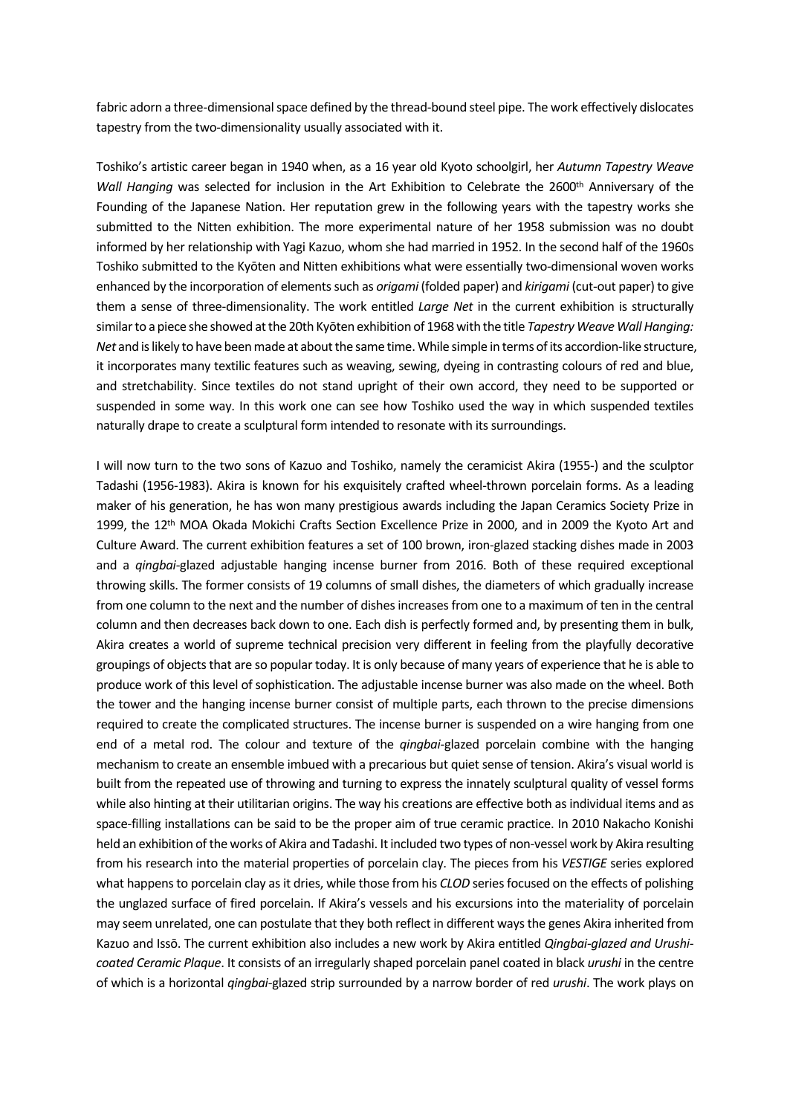fabric adorn a three-dimensional space defined by the thread-bound steel pipe. The work effectively dislocates tapestry from the two-dimensionality usually associated with it.

Toshiko's artistic career began in 1940 when, as a 16 year old Kyoto schoolgirl, her *Autumn Tapestry Weave Wall Hanging* was selected for inclusion in the Art Exhibition to Celebrate the 2600<sup>th</sup> Anniversary of the Founding of the Japanese Nation. Her reputation grew in the following years with the tapestry works she submitted to the Nitten exhibition. The more experimental nature of her 1958 submission was no doubt informed by her relationship with Yagi Kazuo, whom she had married in 1952. In the second half of the 1960s Toshiko submitted to the Kyōten and Nitten exhibitions what were essentially two-dimensional woven works enhanced by the incorporation of elements such as *origami* (folded paper) and *kirigami* (cut-out paper) to give them a sense of three-dimensionality. The work entitled *Large Net* in the current exhibition is structurally similar to a piece she showed at the 20th Kyōten exhibition of 1968 with the title *Tapestry Weave Wall Hanging: Net* and is likely to have been made at about the same time. While simple in terms of its accordion-like structure, it incorporates many textilic features such as weaving, sewing, dyeing in contrasting colours of red and blue, and stretchability. Since textiles do not stand upright of their own accord, they need to be supported or suspended in some way. In this work one can see how Toshiko used the way in which suspended textiles naturally drape to create a sculptural form intended to resonate with its surroundings.

I will now turn to the two sons of Kazuo and Toshiko, namely the ceramicist Akira (1955-) and the sculptor Tadashi (1956-1983). Akira is known for his exquisitely crafted wheel-thrown porcelain forms. As a leading maker of his generation, he has won many prestigious awards including the Japan Ceramics Society Prize in 1999, the 12<sup>th</sup> MOA Okada Mokichi Crafts Section Excellence Prize in 2000, and in 2009 the Kyoto Art and Culture Award. The current exhibition features a set of 100 brown, iron-glazed stacking dishes made in 2003 and a *qingbai*-glazed adjustable hanging incense burner from 2016. Both of these required exceptional throwing skills. The former consists of 19 columns of small dishes, the diameters of which gradually increase from one column to the next and the number of dishes increases from one to a maximum of ten in the central column and then decreases back down to one. Each dish is perfectly formed and, by presenting them in bulk, Akira creates a world of supreme technical precision very different in feeling from the playfully decorative groupings of objects that are so popular today. It is only because of many years of experience that he is able to produce work of this level of sophistication. The adjustable incense burner was also made on the wheel. Both the tower and the hanging incense burner consist of multiple parts, each thrown to the precise dimensions required to create the complicated structures. The incense burner is suspended on a wire hanging from one end of a metal rod. The colour and texture of the *qingbai*-glazed porcelain combine with the hanging mechanism to create an ensemble imbued with a precarious but quiet sense of tension. Akira's visual world is built from the repeated use of throwing and turning to express the innately sculptural quality of vessel forms while also hinting at their utilitarian origins. The way his creations are effective both as individual items and as space-filling installations can be said to be the proper aim of true ceramic practice. In 2010 Nakacho Konishi held an exhibition of the works of Akira and Tadashi. It included two types of non-vessel work by Akira resulting from his research into the material properties of porcelain clay. The pieces from his *VESTIGE* series explored what happens to porcelain clay as it dries, while those from his *CLOD* series focused on the effects of polishing the unglazed surface of fired porcelain. If Akira's vessels and his excursions into the materiality of porcelain may seem unrelated, one can postulate that they both reflect in different ways the genes Akira inherited from Kazuo and Issō. The current exhibition also includes a new work by Akira entitled *Qingbai-glazed and Urushicoated Ceramic Plaque*. It consists of an irregularly shaped porcelain panel coated in black *urushi* in the centre of which is a horizontal *qingbai*-glazed strip surrounded by a narrow border of red *urushi*. The work plays on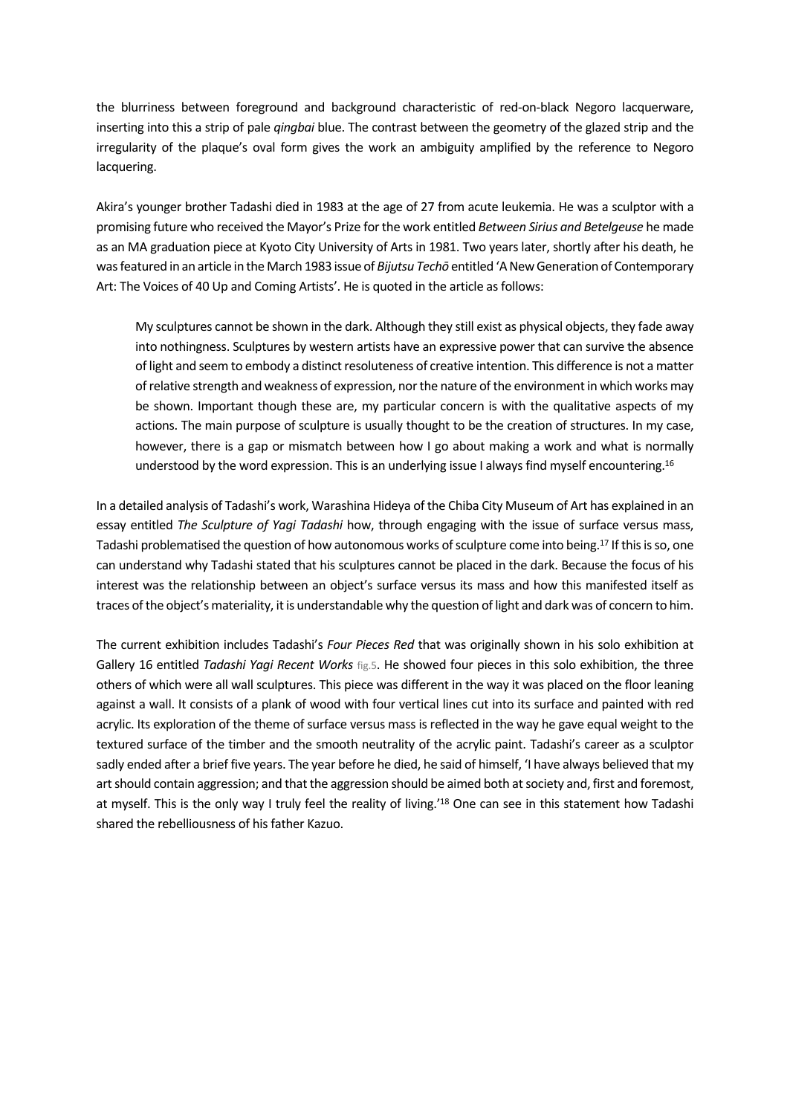the blurriness between foreground and background characteristic of red-on-black Negoro lacquerware, inserting into this a strip of pale *qingbai* blue. The contrast between the geometry of the glazed strip and the irregularity of the plaque's oval form gives the work an ambiguity amplified by the reference to Negoro lacquering.

Akira's younger brother Tadashi died in 1983 at the age of 27 from acute leukemia. He was a sculptor with a promising future who received the Mayor's Prize for the work entitled *Between Sirius and Betelgeuse* he made as an MA graduation piece at Kyoto City University of Arts in 1981. Two years later, shortly after his death, he was featured in an article in the March 1983 issue of *Bijutsu Techō* entitled 'A New Generation of Contemporary Art: The Voices of 40 Up and Coming Artists'. He is quoted in the article as follows:

My sculptures cannot be shown in the dark. Although they still exist as physical objects, they fade away into nothingness. Sculptures by western artists have an expressive power that can survive the absence of light and seem to embody a distinct resoluteness of creative intention. This difference is not a matter of relative strength and weakness of expression, nor the nature of the environment in which works may be shown. Important though these are, my particular concern is with the qualitative aspects of my actions. The main purpose of sculpture is usually thought to be the creation of structures. In my case, however, there is a gap or mismatch between how I go about making a work and what is normally understood by the word expression. This is an underlying issue I always find myself encountering.<sup>16</sup>

In a detailed analysis of Tadashi's work, Warashina Hideya of the Chiba City Museum of Art has explained in an essay entitled *The Sculpture of Yagi Tadashi* how, through engaging with the issue of surface versus mass, Tadashi problematised the question of how autonomous works of sculpture come into being.17 If this is so, one can understand why Tadashi stated that his sculptures cannot be placed in the dark. Because the focus of his interest was the relationship between an object's surface versus its mass and how this manifested itself as traces of the object's materiality, it is understandable why the question of light and dark was of concern to him.

The current exhibition includes Tadashi's *Four Pieces Red* that was originally shown in his solo exhibition at Gallery 16 entitled *Tadashi Yagi Recent Works* fig.5. He showed four pieces in this solo exhibition, the three others of which were all wall sculptures. This piece was different in the way it was placed on the floor leaning against a wall. It consists of a plank of wood with four vertical lines cut into its surface and painted with red acrylic. Its exploration of the theme of surface versus mass is reflected in the way he gave equal weight to the textured surface of the timber and the smooth neutrality of the acrylic paint. Tadashi's career as a sculptor sadly ended after a brief five years. The year before he died, he said of himself, 'I have always believed that my art should contain aggression; and that the aggression should be aimed both at society and, first and foremost, at myself. This is the only way I truly feel the reality of living.'<sup>18</sup> One can see in this statement how Tadashi shared the rebelliousness of his father Kazuo.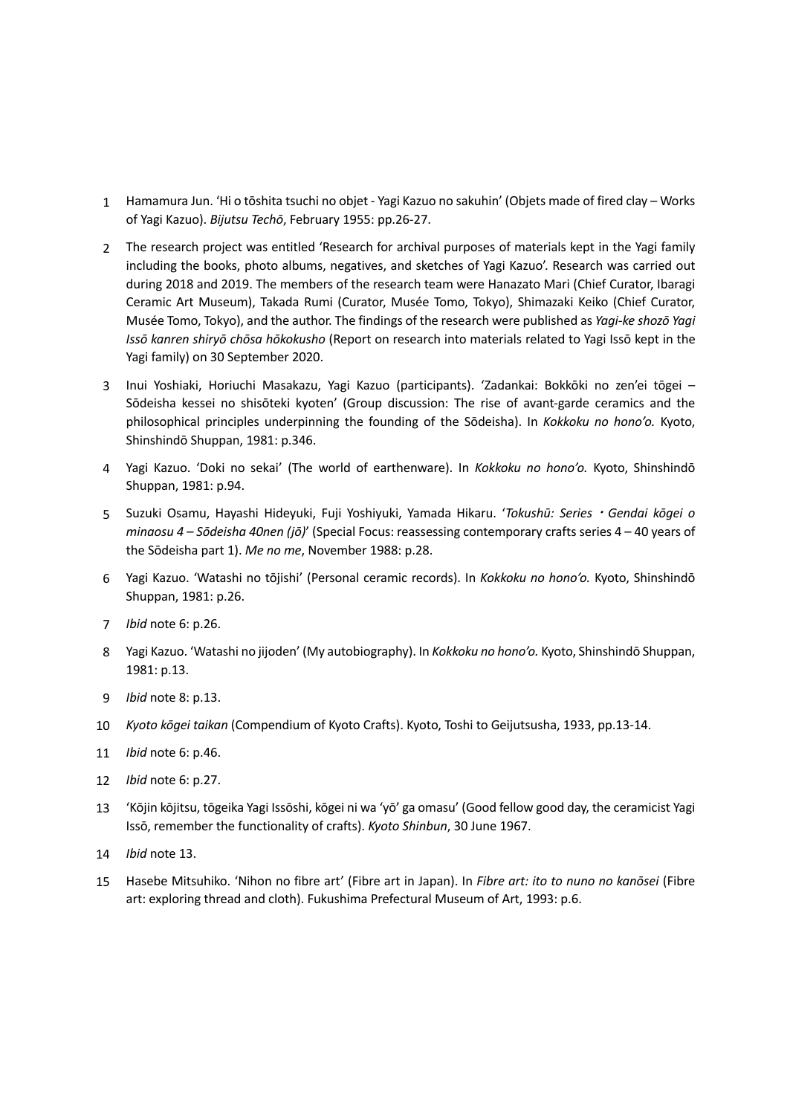- 1 Hamamura Jun. 'Hi o tōshita tsuchi no objet Yagi Kazuo no sakuhin' (Objets made of fired clay Works of Yagi Kazuo). *Bijutsu Techō*, February 1955: pp.26-27.
- 2 The research project was entitled 'Research for archival purposes of materials kept in the Yagi family including the books, photo albums, negatives, and sketches of Yagi Kazuo'. Research was carried out during 2018 and 2019. The members of the research team were Hanazato Mari (Chief Curator, Ibaragi Ceramic Art Museum), Takada Rumi (Curator, Musée Tomo, Tokyo), Shimazaki Keiko (Chief Curator, Musée Tomo, Tokyo), and the author. The findings of the research were published as *Yagi-ke shozō Yagi Issō kanren shiryō chōsa hōkokusho* (Report on research into materials related to Yagi Issō kept in the Yagi family) on 30 September 2020.
- 3 Inui Yoshiaki, Horiuchi Masakazu, Yagi Kazuo (participants). 'Zadankai: Bokkōki no zen'ei tōgei Sōdeisha kessei no shisōteki kyoten' (Group discussion: The rise of avant-garde ceramics and the philosophical principles underpinning the founding of the Sōdeisha). In *Kokkoku no hono'o.* Kyoto, Shinshindō Shuppan, 1981: p.346.
- 4 Yagi Kazuo. 'Doki no sekai' (The world of earthenware). In *Kokkoku no hono'o.* Kyoto, Shinshindō Shuppan, 1981: p.94.
- 5 Suzuki Osamu, Hayashi Hideyuki, Fuji Yoshiyuki, Yamada Hikaru. '*Tokushū: SeriesGendai kōgei o minaosu 4 – Sōdeisha 40nen (jō)*' (Special Focus: reassessing contemporary crafts series 4 – 40 years of the Sōdeisha part 1). *Me no me*, November 1988: p.28.
- 6 Yagi Kazuo. 'Watashi no tōjishi' (Personal ceramic records). In *Kokkoku no hono'o.* Kyoto, Shinshindō Shuppan, 1981: p.26.
- 7 *Ibid* note 6: p.26.
- 8 Yagi Kazuo. 'Watashi no jijoden' (My autobiography). In *Kokkoku no hono'o.* Kyoto, Shinshindō Shuppan, 1981: p.13.
- 9 *Ibid* note 8: p.13.
- 10 *Kyoto kōgei taikan* (Compendium of Kyoto Crafts). Kyoto, Toshi to Geijutsusha, 1933, pp.13-14.
- 11 *Ibid* note 6: p.46.
- 12 *Ibid* note 6: p.27.
- 13 'Kōjin kōjitsu, tōgeika Yagi Issōshi, kōgei ni wa 'yō' ga omasu' (Good fellow good day, the ceramicist Yagi Issō, remember the functionality of crafts). *Kyoto Shinbun*, 30 June 1967.
- 14 *Ibid* note 13.
- 15 Hasebe Mitsuhiko. 'Nihon no fibre art' (Fibre art in Japan). In *Fibre art: ito to nuno no kanōsei* (Fibre art: exploring thread and cloth). Fukushima Prefectural Museum of Art, 1993: p.6.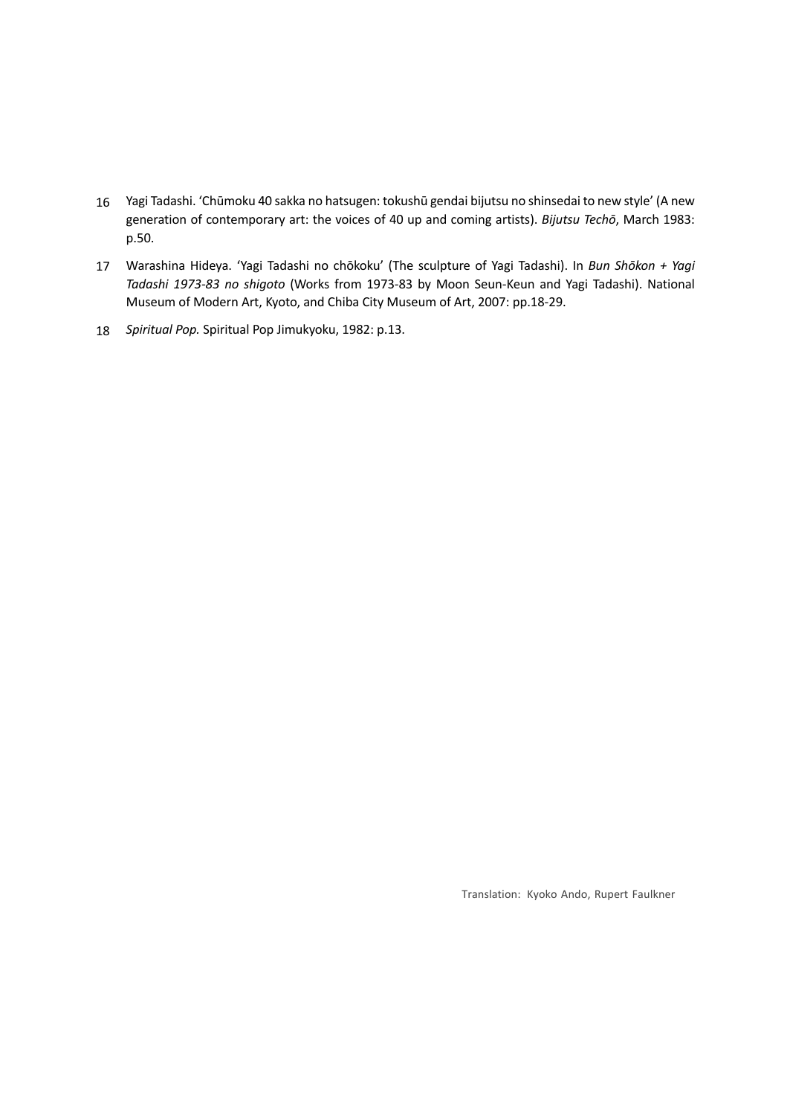- 16 Yagi Tadashi. 'Chūmoku 40 sakka no hatsugen: tokushū gendai bijutsu no shinsedai to new style' (A new generation of contemporary art: the voices of 40 up and coming artists). *Bijutsu Techō*, March 1983: p.50.
- 17 Warashina Hideya. 'Yagi Tadashi no chōkoku' (The sculpture of Yagi Tadashi). In *Bun Shōkon + Yagi Tadashi 1973-83 no shigoto* (Works from 1973-83 by Moon Seun-Keun and Yagi Tadashi). National Museum of Modern Art, Kyoto, and Chiba City Museum of Art, 2007: pp.18-29.
- 18 *Spiritual Pop.* Spiritual Pop Jimukyoku, 1982: p.13.

Translation: Kyoko Ando, Rupert Faulkner